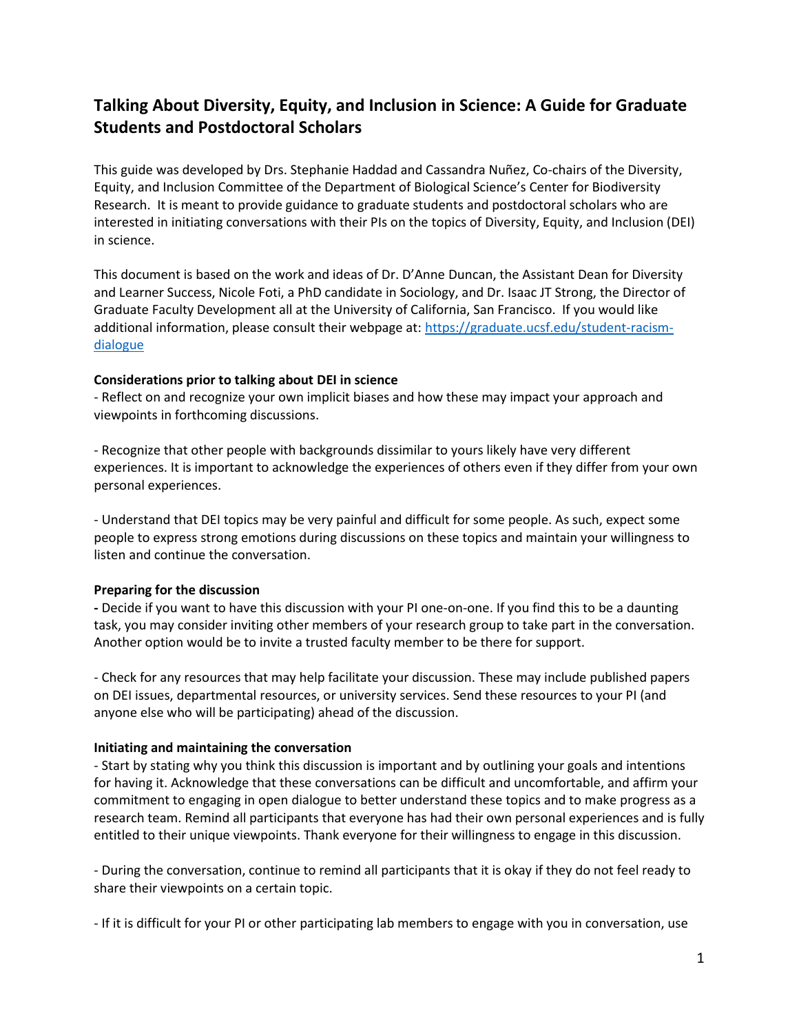# **Talking About Diversity, Equity, and Inclusion in Science: A Guide for Graduate Students and Postdoctoral Scholars**

This guide was developed by Drs. Stephanie Haddad and Cassandra Nuñez, Co-chairs of the Diversity, Equity, and Inclusion Committee of the Department of Biological Science's Center for Biodiversity Research. It is meant to provide guidance to graduate students and postdoctoral scholars who are interested in initiating conversations with their PIs on the topics of Diversity, Equity, and Inclusion (DEI) in science.

This document is based on the work and ideas of Dr. D'Anne Duncan, the Assistant Dean for Diversity and Learner Success, Nicole Foti, a PhD candidate in Sociology, and Dr. Isaac JT Strong, the Director of Graduate Faculty Development all at the University of California, San Francisco. If you would like additional information, please consult their webpage at[: https://graduate.ucsf.edu/student-racism](https://graduate.ucsf.edu/student-racism-dialogue)[dialogue](https://graduate.ucsf.edu/student-racism-dialogue)

### **Considerations prior to talking about DEI in science**

- Reflect on and recognize your own implicit biases and how these may impact your approach and viewpoints in forthcoming discussions.

- Recognize that other people with backgrounds dissimilar to yours likely have very different experiences. It is important to acknowledge the experiences of others even if they differ from your own personal experiences.

- Understand that DEI topics may be very painful and difficult for some people. As such, expect some people to express strong emotions during discussions on these topics and maintain your willingness to listen and continue the conversation.

#### **Preparing for the discussion**

**-** Decide if you want to have this discussion with your PI one-on-one. If you find this to be a daunting task, you may consider inviting other members of your research group to take part in the conversation. Another option would be to invite a trusted faculty member to be there for support.

- Check for any resources that may help facilitate your discussion. These may include published papers on DEI issues, departmental resources, or university services. Send these resources to your PI (and anyone else who will be participating) ahead of the discussion.

#### **Initiating and maintaining the conversation**

- Start by stating why you think this discussion is important and by outlining your goals and intentions for having it. Acknowledge that these conversations can be difficult and uncomfortable, and affirm your commitment to engaging in open dialogue to better understand these topics and to make progress as a research team. Remind all participants that everyone has had their own personal experiences and is fully entitled to their unique viewpoints. Thank everyone for their willingness to engage in this discussion.

- During the conversation, continue to remind all participants that it is okay if they do not feel ready to share their viewpoints on a certain topic.

- If it is difficult for your PI or other participating lab members to engage with you in conversation, use